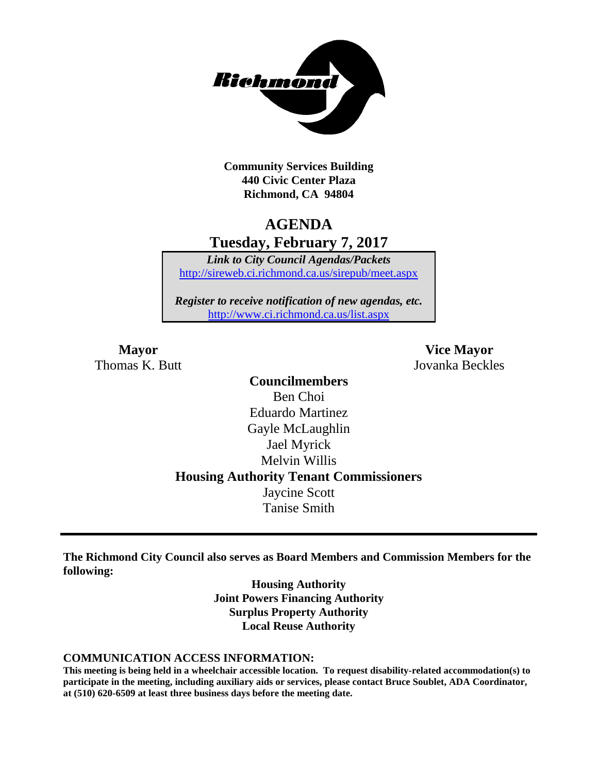

**Community Services Building 440 Civic Center Plaza Richmond, CA 94804**

# **AGENDA Tuesday, February 7, 2017**

*Link to City Council Agendas/Packets* <http://sireweb.ci.richmond.ca.us/sirepub/meet.aspx>

*Register to receive notification of new agendas, etc.* <http://www.ci.richmond.ca.us/list.aspx>

Thomas K. Butt Jovanka Beckles

**Mayor Vice Mayor**

**Councilmembers** Ben Choi Eduardo Martinez Gayle McLaughlin Jael Myrick Melvin Willis **Housing Authority Tenant Commissioners** Jaycine Scott Tanise Smith

**The Richmond City Council also serves as Board Members and Commission Members for the following:**

> **Housing Authority Joint Powers Financing Authority Surplus Property Authority Local Reuse Authority**

#### **COMMUNICATION ACCESS INFORMATION:**

**This meeting is being held in a wheelchair accessible location. To request disability-related accommodation(s) to participate in the meeting, including auxiliary aids or services, please contact Bruce Soublet, ADA Coordinator, at (510) 620-6509 at least three business days before the meeting date.**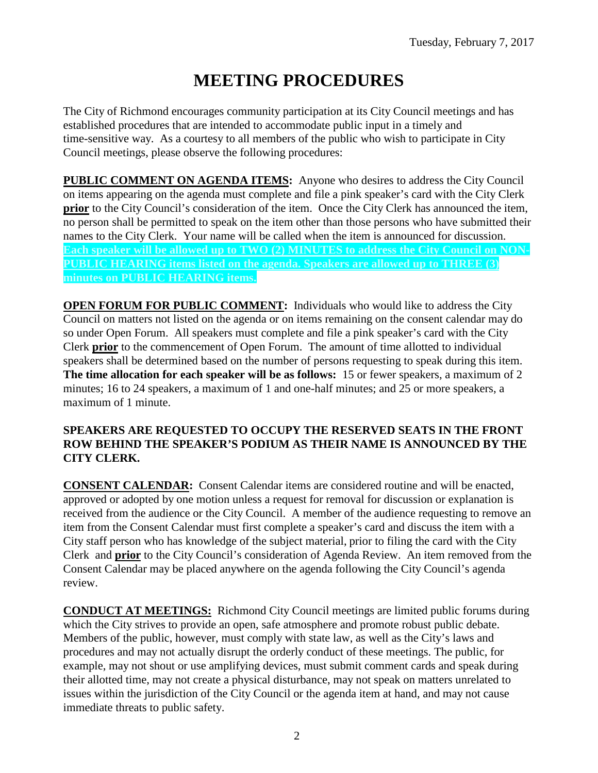# **MEETING PROCEDURES**

The City of Richmond encourages community participation at its City Council meetings and has established procedures that are intended to accommodate public input in a timely and time-sensitive way. As a courtesy to all members of the public who wish to participate in City Council meetings, please observe the following procedures:

**PUBLIC COMMENT ON AGENDA ITEMS:** Anyone who desires to address the City Council on items appearing on the agenda must complete and file a pink speaker's card with the City Clerk **prior** to the City Council's consideration of the item. Once the City Clerk has announced the item, no person shall be permitted to speak on the item other than those persons who have submitted their names to the City Clerk. Your name will be called when the item is announced for discussion. **Each speaker will be allowed up to TWO (2) MINUTES to address the City Council on NON-PUBLIC HEARING items listed on the agenda. Speakers are allowed up to THREE (3) minutes on PUBLIC HEARING items.**

**OPEN FORUM FOR PUBLIC COMMENT:** Individuals who would like to address the City Council on matters not listed on the agenda or on items remaining on the consent calendar may do so under Open Forum. All speakers must complete and file a pink speaker's card with the City Clerk **prior** to the commencement of Open Forum. The amount of time allotted to individual speakers shall be determined based on the number of persons requesting to speak during this item. **The time allocation for each speaker will be as follows:** 15 or fewer speakers, a maximum of 2 minutes; 16 to 24 speakers, a maximum of 1 and one-half minutes; and 25 or more speakers, a maximum of 1 minute.

### **SPEAKERS ARE REQUESTED TO OCCUPY THE RESERVED SEATS IN THE FRONT ROW BEHIND THE SPEAKER'S PODIUM AS THEIR NAME IS ANNOUNCED BY THE CITY CLERK.**

**CONSENT CALENDAR:** Consent Calendar items are considered routine and will be enacted, approved or adopted by one motion unless a request for removal for discussion or explanation is received from the audience or the City Council. A member of the audience requesting to remove an item from the Consent Calendar must first complete a speaker's card and discuss the item with a City staff person who has knowledge of the subject material, prior to filing the card with the City Clerk and **prior** to the City Council's consideration of Agenda Review. An item removed from the Consent Calendar may be placed anywhere on the agenda following the City Council's agenda review.

**CONDUCT AT MEETINGS:** Richmond City Council meetings are limited public forums during which the City strives to provide an open, safe atmosphere and promote robust public debate. Members of the public, however, must comply with state law, as well as the City's laws and procedures and may not actually disrupt the orderly conduct of these meetings. The public, for example, may not shout or use amplifying devices, must submit comment cards and speak during their allotted time, may not create a physical disturbance, may not speak on matters unrelated to issues within the jurisdiction of the City Council or the agenda item at hand, and may not cause immediate threats to public safety.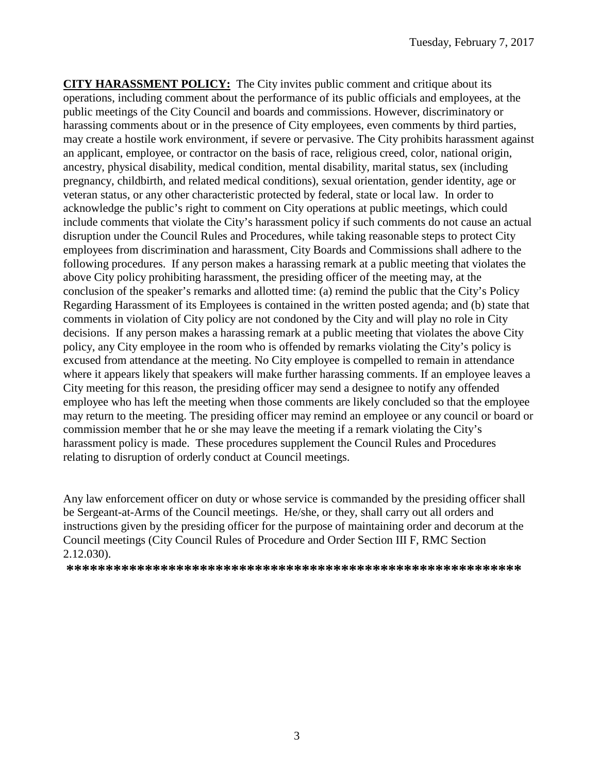**CITY HARASSMENT POLICY:** The City invites public comment and critique about its operations, including comment about the performance of its public officials and employees, at the public meetings of the City Council and boards and commissions. However, discriminatory or harassing comments about or in the presence of City employees, even comments by third parties, may create a hostile work environment, if severe or pervasive. The City prohibits harassment against an applicant, employee, or contractor on the basis of race, religious creed, color, national origin, ancestry, physical disability, medical condition, mental disability, marital status, sex (including pregnancy, childbirth, and related medical conditions), sexual orientation, gender identity, age or veteran status, or any other characteristic protected by federal, state or local law. In order to acknowledge the public's right to comment on City operations at public meetings, which could include comments that violate the City's harassment policy if such comments do not cause an actual disruption under the Council Rules and Procedures, while taking reasonable steps to protect City employees from discrimination and harassment, City Boards and Commissions shall adhere to the following procedures. If any person makes a harassing remark at a public meeting that violates the above City policy prohibiting harassment, the presiding officer of the meeting may, at the conclusion of the speaker's remarks and allotted time: (a) remind the public that the City's Policy Regarding Harassment of its Employees is contained in the written posted agenda; and (b) state that comments in violation of City policy are not condoned by the City and will play no role in City decisions. If any person makes a harassing remark at a public meeting that violates the above City policy, any City employee in the room who is offended by remarks violating the City's policy is excused from attendance at the meeting. No City employee is compelled to remain in attendance where it appears likely that speakers will make further harassing comments. If an employee leaves a City meeting for this reason, the presiding officer may send a designee to notify any offended employee who has left the meeting when those comments are likely concluded so that the employee may return to the meeting. The presiding officer may remind an employee or any council or board or commission member that he or she may leave the meeting if a remark violating the City's harassment policy is made. These procedures supplement the Council Rules and Procedures relating to disruption of orderly conduct at Council meetings.

Any law enforcement officer on duty or whose service is commanded by the presiding officer shall be Sergeant-at-Arms of the Council meetings. He/she, or they, shall carry out all orders and instructions given by the presiding officer for the purpose of maintaining order and decorum at the Council meetings (City Council Rules of Procedure and Order Section III F, RMC Section 2.12.030).

**\*\*\*\*\*\*\*\*\*\*\*\*\*\*\*\*\*\*\*\*\*\*\*\*\*\*\*\*\*\*\*\*\*\*\*\*\*\*\*\*\*\*\*\*\*\*\*\*\*\*\*\*\*\*\*\*\*\***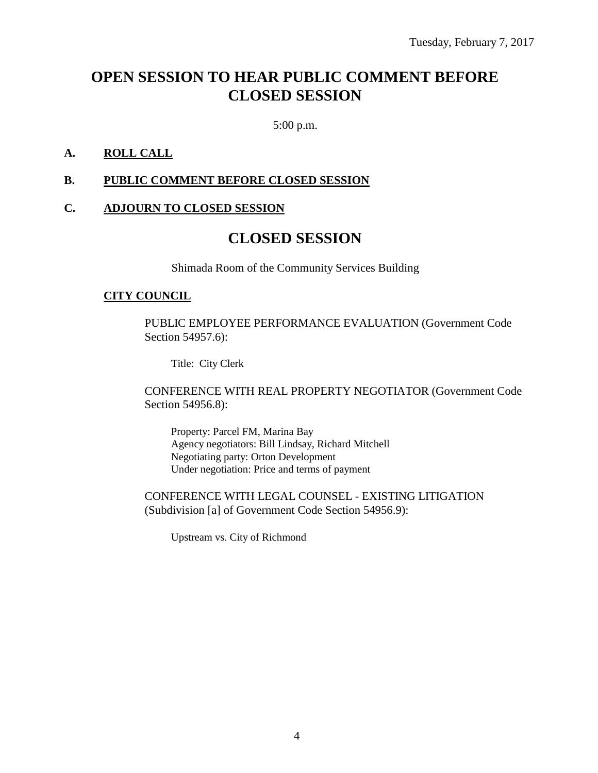# **OPEN SESSION TO HEAR PUBLIC COMMENT BEFORE CLOSED SESSION**

5:00 p.m.

### **A. ROLL CALL**

#### **B. PUBLIC COMMENT BEFORE CLOSED SESSION**

#### **C. ADJOURN TO CLOSED SESSION**

# **CLOSED SESSION**

Shimada Room of the Community Services Building

#### **CITY COUNCIL**

PUBLIC EMPLOYEE PERFORMANCE EVALUATION (Government Code Section 54957.6):

Title: City Clerk

CONFERENCE WITH REAL PROPERTY NEGOTIATOR (Government Code Section 54956.8):

Property: Parcel FM, Marina Bay Agency negotiators: Bill Lindsay, Richard Mitchell Negotiating party: Orton Development Under negotiation: Price and terms of payment

CONFERENCE WITH LEGAL COUNSEL - EXISTING LITIGATION (Subdivision [a] of Government Code Section 54956.9):

Upstream vs. City of Richmond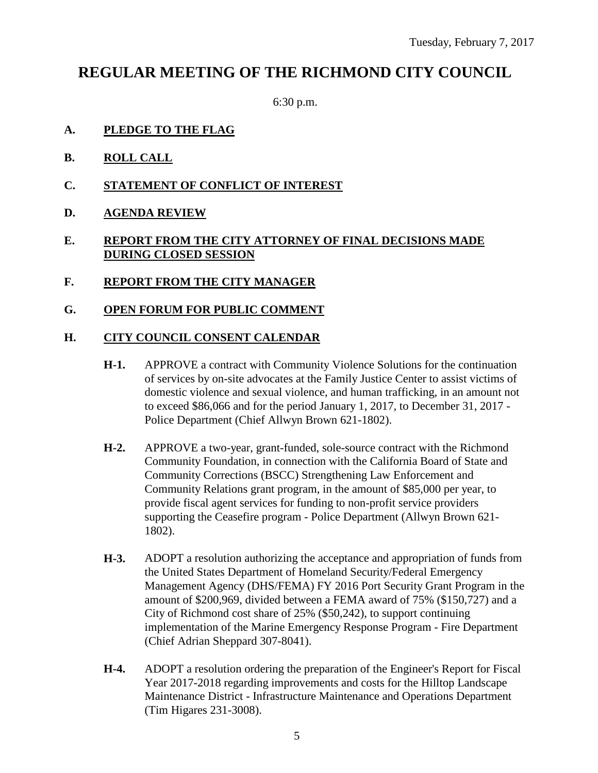# **REGULAR MEETING OF THE RICHMOND CITY COUNCIL**

6:30 p.m.

- **A. PLEDGE TO THE FLAG**
- **B. ROLL CALL**
- **C. STATEMENT OF CONFLICT OF INTEREST**
- **D. AGENDA REVIEW**

# **E. REPORT FROM THE CITY ATTORNEY OF FINAL DECISIONS MADE DURING CLOSED SESSION**

- **F. REPORT FROM THE CITY MANAGER**
- **G. OPEN FORUM FOR PUBLIC COMMENT**

#### **H. CITY COUNCIL CONSENT CALENDAR**

- **H-1.** APPROVE a contract with Community Violence Solutions for the continuation of services by on-site advocates at the Family Justice Center to assist victims of domestic violence and sexual violence, and human trafficking, in an amount not to exceed \$86,066 and for the period January 1, 2017, to December 31, 2017 - Police Department (Chief Allwyn Brown 621-1802).
- **H-2.** APPROVE a two-year, grant-funded, sole-source contract with the Richmond Community Foundation, in connection with the California Board of State and Community Corrections (BSCC) Strengthening Law Enforcement and Community Relations grant program, in the amount of \$85,000 per year, to provide fiscal agent services for funding to non-profit service providers supporting the Ceasefire program - Police Department (Allwyn Brown 621- 1802).
- **H-3.** ADOPT a resolution authorizing the acceptance and appropriation of funds from the United States Department of Homeland Security/Federal Emergency Management Agency (DHS/FEMA) FY 2016 Port Security Grant Program in the amount of \$200,969, divided between a FEMA award of 75% (\$150,727) and a City of Richmond cost share of 25% (\$50,242), to support continuing implementation of the Marine Emergency Response Program - Fire Department (Chief Adrian Sheppard 307-8041).
- **H-4.** ADOPT a resolution ordering the preparation of the Engineer's Report for Fiscal Year 2017-2018 regarding improvements and costs for the Hilltop Landscape Maintenance District - Infrastructure Maintenance and Operations Department (Tim Higares 231-3008).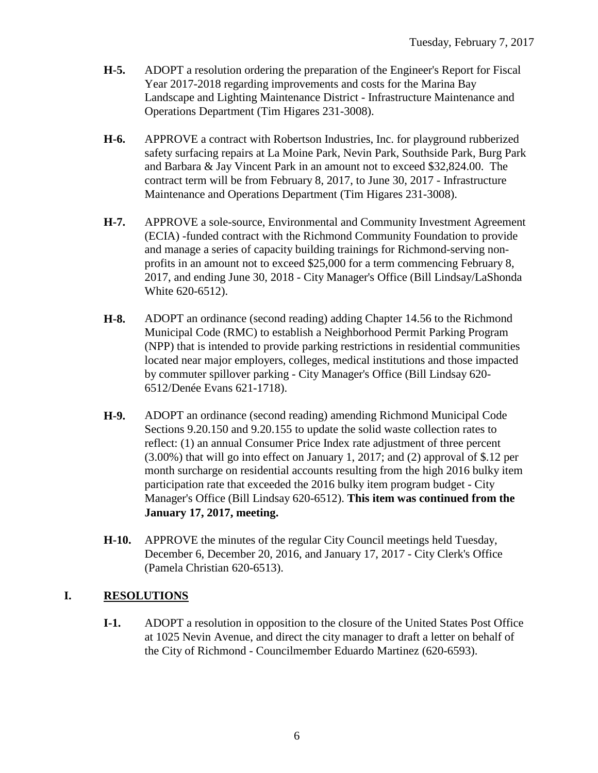- **H-5.** ADOPT a resolution ordering the preparation of the Engineer's Report for Fiscal Year 2017-2018 regarding improvements and costs for the Marina Bay Landscape and Lighting Maintenance District - Infrastructure Maintenance and Operations Department (Tim Higares 231-3008).
- **H-6.** APPROVE a contract with Robertson Industries, Inc. for playground rubberized safety surfacing repairs at La Moine Park, Nevin Park, Southside Park, Burg Park and Barbara & Jay Vincent Park in an amount not to exceed \$32,824.00. The contract term will be from February 8, 2017, to June 30, 2017 - Infrastructure Maintenance and Operations Department (Tim Higares 231-3008).
- **H-7.** APPROVE a sole-source, Environmental and Community Investment Agreement (ECIA) -funded contract with the Richmond Community Foundation to provide and manage a series of capacity building trainings for Richmond-serving nonprofits in an amount not to exceed \$25,000 for a term commencing February 8, 2017, and ending June 30, 2018 - City Manager's Office (Bill Lindsay/LaShonda White 620-6512).
- **H-8.** ADOPT an ordinance (second reading) adding Chapter 14.56 to the Richmond Municipal Code (RMC) to establish a Neighborhood Permit Parking Program (NPP) that is intended to provide parking restrictions in residential communities located near major employers, colleges, medical institutions and those impacted by commuter spillover parking - City Manager's Office (Bill Lindsay 620- 6512/Denée Evans 621-1718).
- **H-9.** ADOPT an ordinance (second reading) amending Richmond Municipal Code Sections 9.20.150 and 9.20.155 to update the solid waste collection rates to reflect: (1) an annual Consumer Price Index rate adjustment of three percent (3.00%) that will go into effect on January 1, 2017; and (2) approval of \$.12 per month surcharge on residential accounts resulting from the high 2016 bulky item participation rate that exceeded the 2016 bulky item program budget - City Manager's Office (Bill Lindsay 620-6512). **This item was continued from the January 17, 2017, meeting.**
- **H-10.** APPROVE the minutes of the regular City Council meetings held Tuesday, December 6, December 20, 2016, and January 17, 2017 - City Clerk's Office (Pamela Christian 620-6513).

# **I. RESOLUTIONS**

**I-1.** ADOPT a resolution in opposition to the closure of the United States Post Office at 1025 Nevin Avenue, and direct the city manager to draft a letter on behalf of the City of Richmond - Councilmember Eduardo Martinez (620-6593).